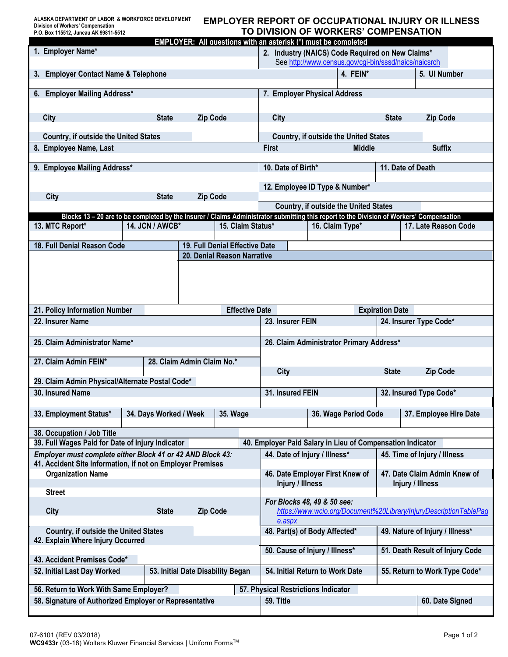**ALASKA DEPARTMENT OF LABOR & WORKFORCE DEVELOPMENT Division of Workers' Compensation P.O. Box 115512, Juneau AK 99811-5512**

# **EMPLOYER REPORT OF OCCUPATIONAL INJURY OR ILLNESS TO DIVISION OF WORKERS' COMPENSATION**

|                                                                                                                                          |                                                                                                  |                                                            |                                                       | EMPLOYER: All questions with an asterisk (*) must be completed |                              |                      |              |                        |
|------------------------------------------------------------------------------------------------------------------------------------------|--------------------------------------------------------------------------------------------------|------------------------------------------------------------|-------------------------------------------------------|----------------------------------------------------------------|------------------------------|----------------------|--------------|------------------------|
| 1. Employer Name*                                                                                                                        |                                                                                                  |                                                            |                                                       | 2. Industry (NAICS) Code Required on New Claims*               |                              |                      |              |                        |
|                                                                                                                                          |                                                                                                  |                                                            | See http://www.census.gov/cgi-bin/sssd/naics/naicsrch |                                                                |                              |                      |              |                        |
| 3. Employer Contact Name & Telephone                                                                                                     |                                                                                                  |                                                            |                                                       | 4. FEIN*                                                       |                              | 5. UI Number         |              |                        |
|                                                                                                                                          |                                                                                                  |                                                            |                                                       |                                                                |                              |                      |              |                        |
| 6. Employer Mailing Address*                                                                                                             | 7. Employer Physical Address                                                                     |                                                            |                                                       |                                                                |                              |                      |              |                        |
|                                                                                                                                          |                                                                                                  |                                                            |                                                       |                                                                |                              |                      |              |                        |
| City                                                                                                                                     | <b>State</b>                                                                                     | <b>Zip Code</b>                                            |                                                       | City                                                           |                              |                      | <b>State</b> | <b>Zip Code</b>        |
|                                                                                                                                          |                                                                                                  |                                                            |                                                       |                                                                |                              |                      |              |                        |
| <b>Country, if outside the United States</b>                                                                                             | <b>Country, if outside the United States</b>                                                     |                                                            |                                                       |                                                                |                              |                      |              |                        |
| 8. Employee Name, Last                                                                                                                   | <b>Suffix</b><br><b>First</b><br><b>Middle</b>                                                   |                                                            |                                                       |                                                                |                              |                      |              |                        |
|                                                                                                                                          |                                                                                                  |                                                            |                                                       |                                                                |                              |                      |              |                        |
| 9. Employee Mailing Address*                                                                                                             | 11. Date of Death<br>10. Date of Birth*                                                          |                                                            |                                                       |                                                                |                              |                      |              |                        |
|                                                                                                                                          |                                                                                                  |                                                            |                                                       |                                                                |                              |                      |              |                        |
|                                                                                                                                          |                                                                                                  |                                                            |                                                       | 12. Employee ID Type & Number*                                 |                              |                      |              |                        |
| City                                                                                                                                     | <b>State</b>                                                                                     | <b>Zip Code</b>                                            |                                                       |                                                                |                              |                      |              |                        |
|                                                                                                                                          |                                                                                                  |                                                            |                                                       | Country, if outside the United States                          |                              |                      |              |                        |
| Blocks 13 - 20 are to be completed by the Insurer / Claims Administrator submitting this report to the Division of Workers' Compensation |                                                                                                  |                                                            |                                                       |                                                                |                              |                      |              |                        |
| 13. MTC Report*                                                                                                                          | 14. JCN / AWCB*                                                                                  |                                                            | 15. Claim Status*                                     |                                                                |                              | 16. Claim Type*      |              | 17. Late Reason Code   |
|                                                                                                                                          |                                                                                                  |                                                            |                                                       |                                                                |                              |                      |              |                        |
| 18. Full Denial Reason Code                                                                                                              |                                                                                                  |                                                            | 19. Full Denial Effective Date                        |                                                                |                              |                      |              |                        |
|                                                                                                                                          |                                                                                                  |                                                            | 20. Denial Reason Narrative                           |                                                                |                              |                      |              |                        |
|                                                                                                                                          |                                                                                                  |                                                            |                                                       |                                                                |                              |                      |              |                        |
|                                                                                                                                          |                                                                                                  |                                                            |                                                       |                                                                |                              |                      |              |                        |
|                                                                                                                                          |                                                                                                  |                                                            |                                                       |                                                                |                              |                      |              |                        |
|                                                                                                                                          |                                                                                                  |                                                            |                                                       |                                                                |                              |                      |              |                        |
| 21. Policy Information Number                                                                                                            |                                                                                                  |                                                            | <b>Effective Date</b>                                 |                                                                |                              |                      |              |                        |
|                                                                                                                                          |                                                                                                  |                                                            |                                                       |                                                                | <b>Expiration Date</b>       |                      |              |                        |
| 22. Insurer Name                                                                                                                         |                                                                                                  |                                                            |                                                       | 23. Insurer FEIN<br>24. Insurer Type Code*                     |                              |                      |              |                        |
|                                                                                                                                          |                                                                                                  |                                                            |                                                       |                                                                |                              |                      |              |                        |
| 25. Claim Administrator Name*                                                                                                            |                                                                                                  |                                                            |                                                       | 26. Claim Administrator Primary Address*                       |                              |                      |              |                        |
|                                                                                                                                          |                                                                                                  |                                                            |                                                       |                                                                |                              |                      |              |                        |
| 27. Claim Admin FEIN*                                                                                                                    |                                                                                                  | 28. Claim Admin Claim No.*                                 |                                                       |                                                                |                              |                      |              |                        |
|                                                                                                                                          |                                                                                                  |                                                            |                                                       | <b>City</b>                                                    |                              |                      | <b>State</b> | <b>Zip Code</b>        |
| 29. Claim Admin Physical/Alternate Postal Code*                                                                                          |                                                                                                  |                                                            |                                                       |                                                                |                              |                      |              |                        |
| 30. Insured Name                                                                                                                         |                                                                                                  |                                                            |                                                       | 31. Insured FEIN<br>32. Insured Type Code*                     |                              |                      |              |                        |
|                                                                                                                                          |                                                                                                  |                                                            |                                                       |                                                                |                              |                      |              |                        |
| 33. Employment Status*                                                                                                                   | 34. Days Worked / Week                                                                           |                                                            | 35. Wage                                              |                                                                |                              | 36. Wage Period Code |              | 37. Employee Hire Date |
|                                                                                                                                          |                                                                                                  |                                                            |                                                       |                                                                |                              |                      |              |                        |
| 38. Occupation / Job Title<br>39. Full Wages Paid for Date of Injury Indicator                                                           |                                                                                                  |                                                            |                                                       |                                                                |                              |                      |              |                        |
|                                                                                                                                          |                                                                                                  | 40. Employer Paid Salary in Lieu of Compensation Indicator |                                                       |                                                                |                              |                      |              |                        |
| Employer must complete either Block 41 or 42 AND Block 43:<br>44. Date of Injury / Illness*<br>45. Time of Injury / Illness              |                                                                                                  |                                                            |                                                       |                                                                |                              |                      |              |                        |
| 41. Accident Site Information, if not on Employer Premises                                                                               |                                                                                                  |                                                            |                                                       |                                                                |                              |                      |              |                        |
| <b>Organization Name</b>                                                                                                                 | 46. Date Employer First Knew of<br>Injury / Illness                                              |                                                            |                                                       |                                                                | 47. Date Claim Admin Knew of |                      |              |                        |
|                                                                                                                                          |                                                                                                  |                                                            |                                                       |                                                                |                              |                      |              | Injury / Illness       |
| <b>Street</b>                                                                                                                            |                                                                                                  |                                                            |                                                       |                                                                |                              |                      |              |                        |
| City                                                                                                                                     | For Blocks 48, 49 & 50 see:<br>https://www.wcio.org/Document%20Library/InjuryDescriptionTablePag |                                                            |                                                       |                                                                |                              |                      |              |                        |
|                                                                                                                                          | <b>State</b>                                                                                     | <b>Zip Code</b>                                            |                                                       | e.aspx                                                         |                              |                      |              |                        |
|                                                                                                                                          |                                                                                                  |                                                            |                                                       |                                                                |                              |                      |              |                        |
| <b>Country, if outside the United States</b><br>42. Explain Where Injury Occurred                                                        | 48. Part(s) of Body Affected*<br>49. Nature of Injury / Illness*                                 |                                                            |                                                       |                                                                |                              |                      |              |                        |
|                                                                                                                                          | 50. Cause of Injury / Illness*                                                                   |                                                            |                                                       |                                                                |                              |                      |              |                        |
| 43. Accident Premises Code*                                                                                                              | 51. Death Result of Injury Code                                                                  |                                                            |                                                       |                                                                |                              |                      |              |                        |
|                                                                                                                                          |                                                                                                  |                                                            |                                                       |                                                                |                              |                      |              |                        |
| 52. Initial Last Day Worked                                                                                                              | 54. Initial Return to Work Date<br>55. Return to Work Type Code*                                 |                                                            |                                                       |                                                                |                              |                      |              |                        |
| 56. Return to Work With Same Employer?                                                                                                   |                                                                                                  |                                                            |                                                       |                                                                |                              |                      |              |                        |
|                                                                                                                                          |                                                                                                  | 57. Physical Restrictions Indicator                        |                                                       |                                                                |                              |                      |              |                        |
| 58. Signature of Authorized Employer or Representative                                                                                   | 59. Title<br>60. Date Signed                                                                     |                                                            |                                                       |                                                                |                              |                      |              |                        |
|                                                                                                                                          |                                                                                                  |                                                            |                                                       |                                                                |                              |                      |              |                        |